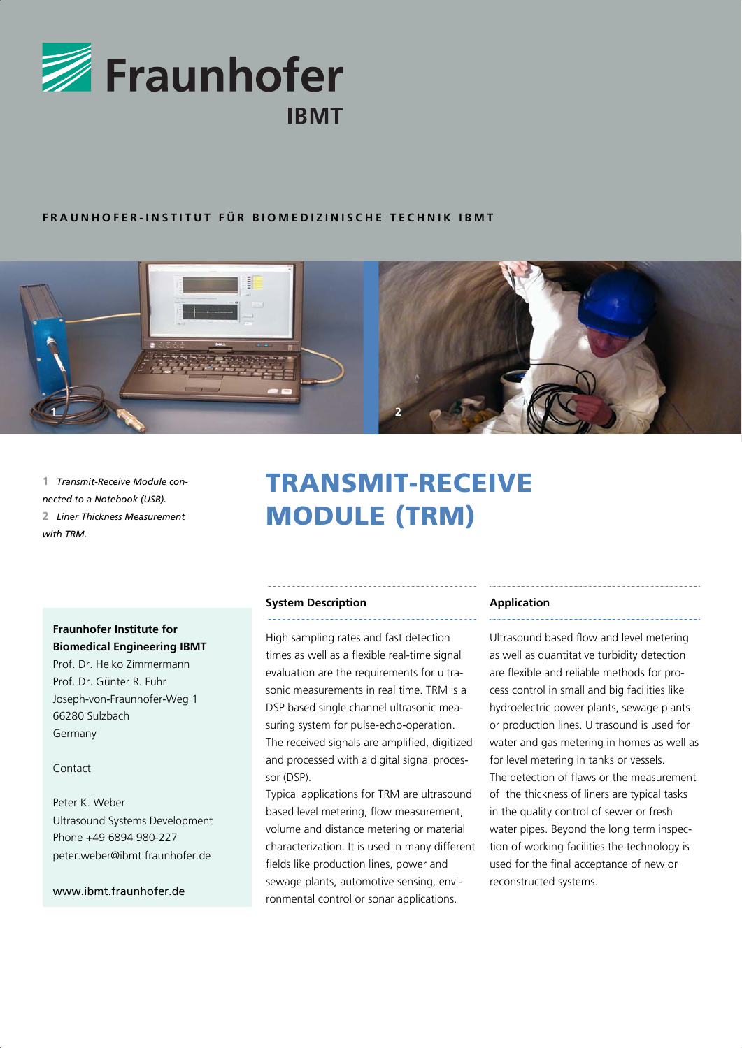

# **FRAUNHOFER-INSTITUT FÜR BIOMEDIZINISCHE TECHNIK IBMT**



**1** *Transmit-Receive Module connected to a Notebook (USB).* **2** *Liner Thickness Measurement with TRM.*

# TRANSMIT-RECEIVE MODULE (TRM)

# **Fraunhofer Institute for Biomedical Engineering IBMT**

Prof. Dr. Heiko Zimmermann Prof. Dr. Günter R. Fuhr Joseph-von-Fraunhofer-Weg 1 66280 Sulzbach Germany

## Contact

Peter K. Weber Ultrasound Systems Development Phone +49 6894 980-227 peter.weber@ibmt.fraunhofer.de

www.ibmt.fraunhofer.de

## **System Description**

High sampling rates and fast detection times as well as a flexible real-time signal evaluation are the requirements for ultrasonic measurements in real time. TRM is a DSP based single channel ultrasonic measuring system for pulse-echo-operation. The received signals are amplified, digitized and processed with a digital signal processor (DSP).

Typical applications for TRM are ultrasound based level metering, flow measurement, volume and distance metering or material characterization. It is used in many different fields like production lines, power and sewage plants, automotive sensing, environmental control or sonar applications.

## **Application**

Ultrasound based flow and level metering as well as quantitative turbidity detection are flexible and reliable methods for process control in small and big facilities like hydroelectric power plants, sewage plants or production lines. Ultrasound is used for water and gas metering in homes as well as for level metering in tanks or vessels. The detection of flaws or the measurement of the thickness of liners are typical tasks in the quality control of sewer or fresh water pipes. Beyond the long term inspection of working facilities the technology is used for the final acceptance of new or reconstructed systems.